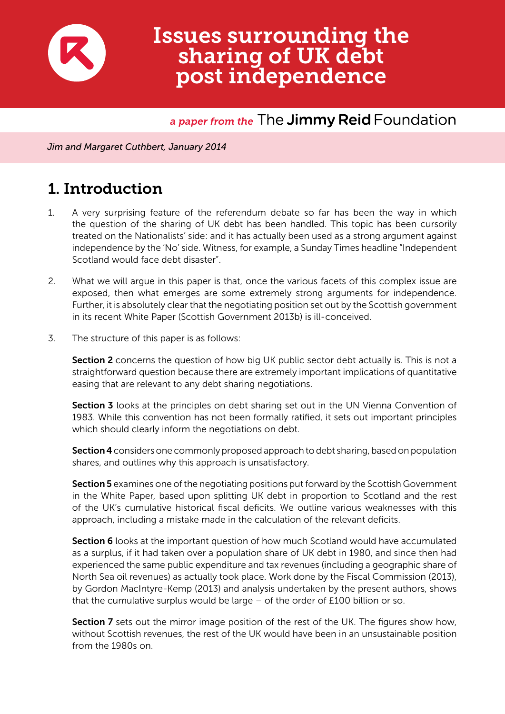

# Issues surrounding the sharing of UK debt post independence

#### *a paper from the* The **Jimmy Reid** Foundation

*Jim and Margaret Cuthbert, January 2014*

# 1. Introduction

- 1. A very surprising feature of the referendum debate so far has been the way in which the question of the sharing of UK debt has been handled. This topic has been cursorily treated on the Nationalists' side: and it has actually been used as a strong argument against independence by the 'No' side. Witness, for example, a Sunday Times headline "Independent Scotland would face debt disaster".
- 2. What we will argue in this paper is that, once the various facets of this complex issue are exposed, then what emerges are some extremely strong arguments for independence. Further, it is absolutely clear that the negotiating position set out by the Scottish government in its recent White Paper (Scottish Government 2013b) is ill-conceived.
- 3. The structure of this paper is as follows:

Section 2 concerns the question of how big UK public sector debt actually is. This is not a straightforward question because there are extremely important implications of quantitative easing that are relevant to any debt sharing negotiations.

**Section 3** looks at the principles on debt sharing set out in the UN Vienna Convention of 1983. While this convention has not been formally ratified, it sets out important principles which should clearly inform the negotiations on debt.

Section 4 considers one commonly proposed approach to debt sharing, based on population shares, and outlines why this approach is unsatisfactory.

Section 5 examines one of the negotiating positions put forward by the Scottish Government in the White Paper, based upon splitting UK debt in proportion to Scotland and the rest of the UK's cumulative historical fiscal deficits. We outline various weaknesses with this approach, including a mistake made in the calculation of the relevant deficits.

**Section 6** looks at the important question of how much Scotland would have accumulated as a surplus, if it had taken over a population share of UK debt in 1980, and since then had experienced the same public expenditure and tax revenues (including a geographic share of North Sea oil revenues) as actually took place. Work done by the Fiscal Commission (2013), by Gordon MacIntyre-Kemp (2013) and analysis undertaken by the present authors, shows that the cumulative surplus would be large – of the order of £100 billion or so.

**Section 7** sets out the mirror image position of the rest of the UK. The figures show how, without Scottish revenues, the rest of the UK would have been in an unsustainable position from the 1980s on.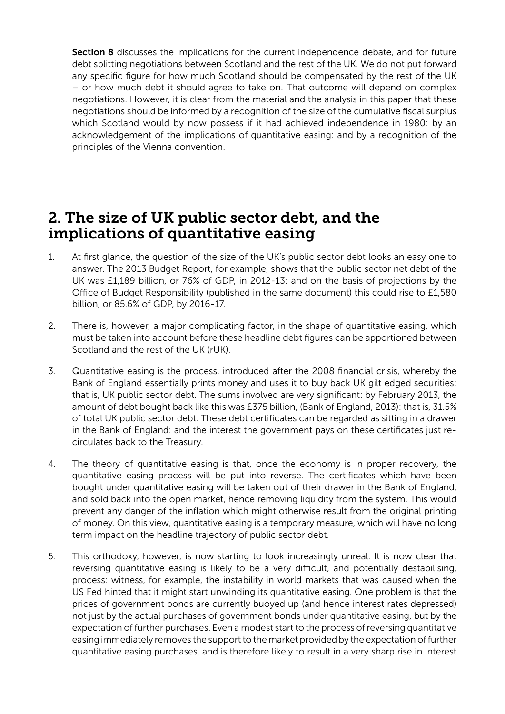Section 8 discusses the implications for the current independence debate, and for future debt splitting negotiations between Scotland and the rest of the UK. We do not put forward any specific figure for how much Scotland should be compensated by the rest of the UK – or how much debt it should agree to take on. That outcome will depend on complex negotiations. However, it is clear from the material and the analysis in this paper that these negotiations should be informed by a recognition of the size of the cumulative fiscal surplus which Scotland would by now possess if it had achieved independence in 1980: by an acknowledgement of the implications of quantitative easing: and by a recognition of the principles of the Vienna convention.

#### 2. The size of UK public sector debt, and the implications of quantitative easing

- 1. At first glance, the question of the size of the UK's public sector debt looks an easy one to answer. The 2013 Budget Report, for example, shows that the public sector net debt of the UK was £1,189 billion, or 76% of GDP, in 2012-13: and on the basis of projections by the Office of Budget Responsibility (published in the same document) this could rise to £1,580 billion, or 85.6% of GDP, by 2016-17.
- 2. There is, however, a major complicating factor, in the shape of quantitative easing, which must be taken into account before these headline debt figures can be apportioned between Scotland and the rest of the UK (rUK).
- 3. Quantitative easing is the process, introduced after the 2008 financial crisis, whereby the Bank of England essentially prints money and uses it to buy back UK gilt edged securities: that is, UK public sector debt. The sums involved are very significant: by February 2013, the amount of debt bought back like this was £375 billion, (Bank of England, 2013): that is, 31.5% of total UK public sector debt. These debt certificates can be regarded as sitting in a drawer in the Bank of England: and the interest the government pays on these certificates just recirculates back to the Treasury.
- 4. The theory of quantitative easing is that, once the economy is in proper recovery, the quantitative easing process will be put into reverse. The certificates which have been bought under quantitative easing will be taken out of their drawer in the Bank of England, and sold back into the open market, hence removing liquidity from the system. This would prevent any danger of the inflation which might otherwise result from the original printing of money. On this view, quantitative easing is a temporary measure, which will have no long term impact on the headline trajectory of public sector debt.
- 5. This orthodoxy, however, is now starting to look increasingly unreal. It is now clear that reversing quantitative easing is likely to be a very difficult, and potentially destabilising, process: witness, for example, the instability in world markets that was caused when the US Fed hinted that it might start unwinding its quantitative easing. One problem is that the prices of government bonds are currently buoyed up (and hence interest rates depressed) not just by the actual purchases of government bonds under quantitative easing, but by the expectation of further purchases. Even a modest start to the process of reversing quantitative easing immediately removes the support to the market provided by the expectation of further quantitative easing purchases, and is therefore likely to result in a very sharp rise in interest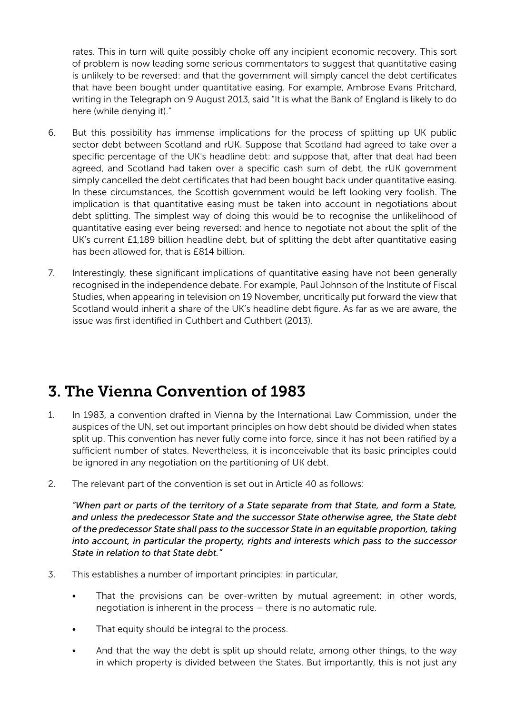rates. This in turn will quite possibly choke off any incipient economic recovery. This sort of problem is now leading some serious commentators to suggest that quantitative easing is unlikely to be reversed: and that the government will simply cancel the debt certificates that have been bought under quantitative easing. For example, Ambrose Evans Pritchard, writing in the Telegraph on 9 August 2013, said "It is what the Bank of England is likely to do here (while denying it)."

- 6. But this possibility has immense implications for the process of splitting up UK public sector debt between Scotland and rUK. Suppose that Scotland had agreed to take over a specific percentage of the UK's headline debt: and suppose that, after that deal had been agreed, and Scotland had taken over a specific cash sum of debt, the rUK government simply cancelled the debt certificates that had been bought back under quantitative easing. In these circumstances, the Scottish government would be left looking very foolish. The implication is that quantitative easing must be taken into account in negotiations about debt splitting. The simplest way of doing this would be to recognise the unlikelihood of quantitative easing ever being reversed: and hence to negotiate not about the split of the UK's current £1,189 billion headline debt, but of splitting the debt after quantitative easing has been allowed for, that is £814 billion.
- 7. Interestingly, these significant implications of quantitative easing have not been generally recognised in the independence debate. For example, Paul Johnson of the Institute of Fiscal Studies, when appearing in television on 19 November, uncritically put forward the view that Scotland would inherit a share of the UK's headline debt figure. As far as we are aware, the issue was first identified in Cuthbert and Cuthbert (2013).

# 3. The Vienna Convention of 1983

- 1. In 1983, a convention drafted in Vienna by the International Law Commission, under the auspices of the UN, set out important principles on how debt should be divided when states split up. This convention has never fully come into force, since it has not been ratified by a sufficient number of states. Nevertheless, it is inconceivable that its basic principles could be ignored in any negotiation on the partitioning of UK debt.
- 2. The relevant part of the convention is set out in Article 40 as follows:

*"When part or parts of the territory of a State separate from that State, and form a State, and unless the predecessor State and the successor State otherwise agree, the State debt of the predecessor State shall pass to the successor State in an equitable proportion, taking into account, in particular the property, rights and interests which pass to the successor State in relation to that State debt."*

- 3. This establishes a number of important principles: in particular,
	- That the provisions can be over-written by mutual agreement: in other words, negotiation is inherent in the process – there is no automatic rule.
	- That equity should be integral to the process.
	- And that the way the debt is split up should relate, among other things, to the way in which property is divided between the States. But importantly, this is not just any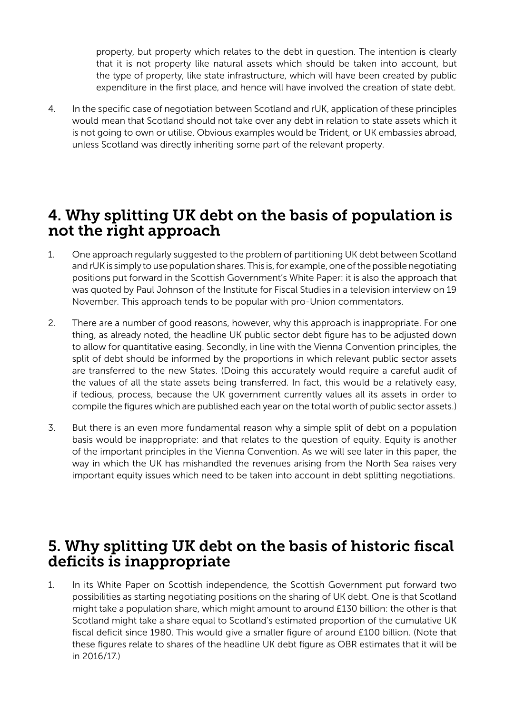property, but property which relates to the debt in question. The intention is clearly that it is not property like natural assets which should be taken into account, but the type of property, like state infrastructure, which will have been created by public expenditure in the first place, and hence will have involved the creation of state debt.

4. In the specific case of negotiation between Scotland and rUK, application of these principles would mean that Scotland should not take over any debt in relation to state assets which it is not going to own or utilise. Obvious examples would be Trident, or UK embassies abroad, unless Scotland was directly inheriting some part of the relevant property.

#### 4. Why splitting UK debt on the basis of population is not the right approach

- 1. One approach regularly suggested to the problem of partitioning UK debt between Scotland and rUK is simply to use population shares. This is, for example, one of the possible negotiating positions put forward in the Scottish Government's White Paper: it is also the approach that was quoted by Paul Johnson of the Institute for Fiscal Studies in a television interview on 19 November. This approach tends to be popular with pro-Union commentators.
- 2. There are a number of good reasons, however, why this approach is inappropriate. For one thing, as already noted, the headline UK public sector debt figure has to be adjusted down to allow for quantitative easing. Secondly, in line with the Vienna Convention principles, the split of debt should be informed by the proportions in which relevant public sector assets are transferred to the new States. (Doing this accurately would require a careful audit of the values of all the state assets being transferred. In fact, this would be a relatively easy, if tedious, process, because the UK government currently values all its assets in order to compile the figures which are published each year on the total worth of public sector assets.)
- 3. But there is an even more fundamental reason why a simple split of debt on a population basis would be inappropriate: and that relates to the question of equity. Equity is another of the important principles in the Vienna Convention. As we will see later in this paper, the way in which the UK has mishandled the revenues arising from the North Sea raises very important equity issues which need to be taken into account in debt splitting negotiations.

### 5. Why splitting UK debt on the basis of historic fiscal deficits is inappropriate

1. In its White Paper on Scottish independence, the Scottish Government put forward two possibilities as starting negotiating positions on the sharing of UK debt. One is that Scotland might take a population share, which might amount to around £130 billion: the other is that Scotland might take a share equal to Scotland's estimated proportion of the cumulative UK fiscal deficit since 1980. This would give a smaller figure of around £100 billion. (Note that these figures relate to shares of the headline UK debt figure as OBR estimates that it will be in 2016/17.)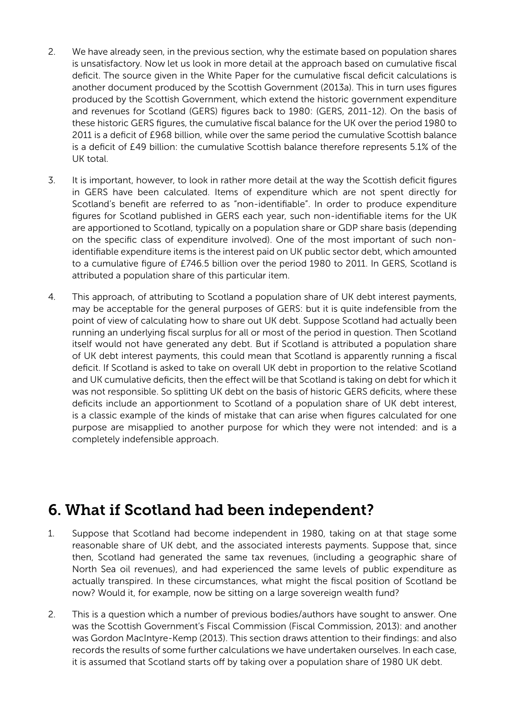- 2. We have already seen, in the previous section, why the estimate based on population shares is unsatisfactory. Now let us look in more detail at the approach based on cumulative fiscal deficit. The source given in the White Paper for the cumulative fiscal deficit calculations is another document produced by the Scottish Government (2013a). This in turn uses figures produced by the Scottish Government, which extend the historic government expenditure and revenues for Scotland (GERS) figures back to 1980: (GERS, 2011-12). On the basis of these historic GERS figures, the cumulative fiscal balance for the UK over the period 1980 to 2011 is a deficit of £968 billion, while over the same period the cumulative Scottish balance is a deficit of £49 billion: the cumulative Scottish balance therefore represents 5.1% of the UK total.
- 3. It is important, however, to look in rather more detail at the way the Scottish deficit figures in GERS have been calculated. Items of expenditure which are not spent directly for Scotland's benefit are referred to as "non-identifiable". In order to produce expenditure figures for Scotland published in GERS each year, such non-identifiable items for the UK are apportioned to Scotland, typically on a population share or GDP share basis (depending on the specific class of expenditure involved). One of the most important of such nonidentifiable expenditure items is the interest paid on UK public sector debt, which amounted to a cumulative figure of £746.5 billion over the period 1980 to 2011. In GERS, Scotland is attributed a population share of this particular item.
- 4. This approach, of attributing to Scotland a population share of UK debt interest payments, may be acceptable for the general purposes of GERS: but it is quite indefensible from the point of view of calculating how to share out UK debt. Suppose Scotland had actually been running an underlying fiscal surplus for all or most of the period in question. Then Scotland itself would not have generated any debt. But if Scotland is attributed a population share of UK debt interest payments, this could mean that Scotland is apparently running a fiscal deficit. If Scotland is asked to take on overall UK debt in proportion to the relative Scotland and UK cumulative deficits, then the effect will be that Scotland is taking on debt for which it was not responsible. So splitting UK debt on the basis of historic GERS deficits, where these deficits include an apportionment to Scotland of a population share of UK debt interest, is a classic example of the kinds of mistake that can arise when figures calculated for one purpose are misapplied to another purpose for which they were not intended: and is a completely indefensible approach.

## 6. What if Scotland had been independent?

- 1. Suppose that Scotland had become independent in 1980, taking on at that stage some reasonable share of UK debt, and the associated interests payments. Suppose that, since then, Scotland had generated the same tax revenues, (including a geographic share of North Sea oil revenues), and had experienced the same levels of public expenditure as actually transpired. In these circumstances, what might the fiscal position of Scotland be now? Would it, for example, now be sitting on a large sovereign wealth fund?
- 2. This is a question which a number of previous bodies/authors have sought to answer. One was the Scottish Government's Fiscal Commission (Fiscal Commission, 2013): and another was Gordon MacIntyre-Kemp (2013). This section draws attention to their findings: and also records the results of some further calculations we have undertaken ourselves. In each case, it is assumed that Scotland starts off by taking over a population share of 1980 UK debt.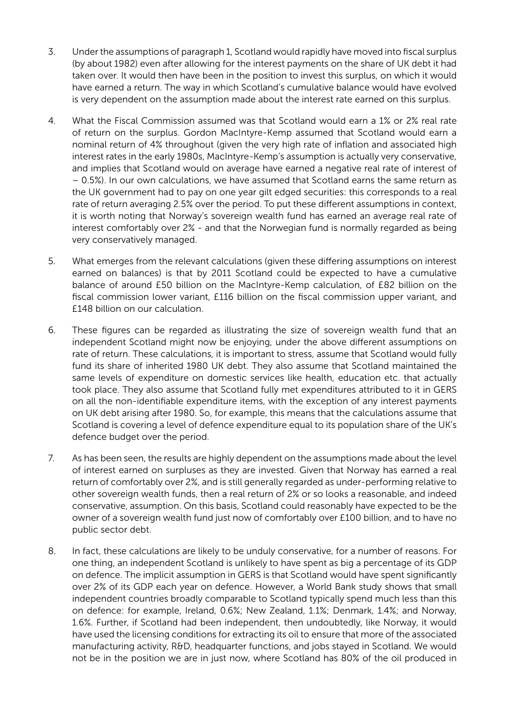- 3. Under the assumptions of paragraph 1, Scotland would rapidly have moved into fiscal surplus (by about 1982) even after allowing for the interest payments on the share of UK debt it had taken over. It would then have been in the position to invest this surplus, on which it would have earned a return. The way in which Scotland's cumulative balance would have evolved is very dependent on the assumption made about the interest rate earned on this surplus.
- 4. What the Fiscal Commission assumed was that Scotland would earn a 1% or 2% real rate of return on the surplus. Gordon MacIntyre-Kemp assumed that Scotland would earn a nominal return of 4% throughout (given the very high rate of inflation and associated high interest rates in the early 1980s, MacIntyre-Kemp's assumption is actually very conservative, and implies that Scotland would on average have earned a negative real rate of interest of – 0.5%). In our own calculations, we have assumed that Scotland earns the same return as the UK government had to pay on one year gilt edged securities: this corresponds to a real rate of return averaging 2.5% over the period. To put these different assumptions in context, it is worth noting that Norway's sovereign wealth fund has earned an average real rate of interest comfortably over 2% - and that the Norwegian fund is normally regarded as being very conservatively managed.
- 5. What emerges from the relevant calculations (given these differing assumptions on interest earned on balances) is that by 2011 Scotland could be expected to have a cumulative balance of around £50 billion on the MacIntyre-Kemp calculation, of £82 billion on the fiscal commission lower variant, £116 billion on the fiscal commission upper variant, and £148 billion on our calculation.
- 6. These figures can be regarded as illustrating the size of sovereign wealth fund that an independent Scotland might now be enjoying, under the above different assumptions on rate of return. These calculations, it is important to stress, assume that Scotland would fully fund its share of inherited 1980 UK debt. They also assume that Scotland maintained the same levels of expenditure on domestic services like health, education etc. that actually took place. They also assume that Scotland fully met expenditures attributed to it in GERS on all the non-identifiable expenditure items, with the exception of any interest payments on UK debt arising after 1980. So, for example, this means that the calculations assume that Scotland is covering a level of defence expenditure equal to its population share of the UK's defence budget over the period.
- 7. As has been seen, the results are highly dependent on the assumptions made about the level of interest earned on surpluses as they are invested. Given that Norway has earned a real return of comfortably over 2%, and is still generally regarded as under-performing relative to other sovereign wealth funds, then a real return of 2% or so looks a reasonable, and indeed conservative, assumption. On this basis, Scotland could reasonably have expected to be the owner of a sovereign wealth fund just now of comfortably over £100 billion, and to have no public sector debt.
- 8. In fact, these calculations are likely to be unduly conservative, for a number of reasons. For one thing, an independent Scotland is unlikely to have spent as big a percentage of its GDP on defence. The implicit assumption in GERS is that Scotland would have spent significantly over 2% of its GDP each year on defence. However, a World Bank study shows that small independent countries broadly comparable to Scotland typically spend much less than this on defence: for example, Ireland, 0.6%; New Zealand, 1.1%; Denmark, 1.4%; and Norway, 1.6%. Further, if Scotland had been independent, then undoubtedly, like Norway, it would have used the licensing conditions for extracting its oil to ensure that more of the associated manufacturing activity, R&D, headquarter functions, and jobs stayed in Scotland. We would not be in the position we are in just now, where Scotland has 80% of the oil produced in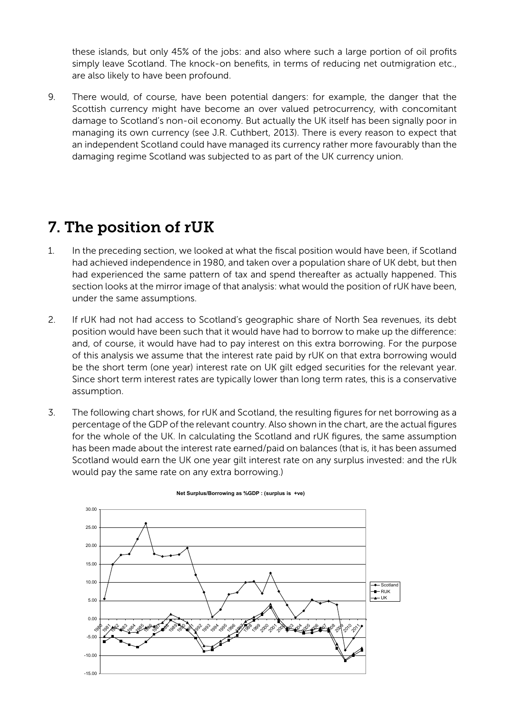these islands, but only 45% of the jobs: and also where such a large portion of oil profits simply leave Scotland. The knock-on benefits, in terms of reducing net outmigration etc., are also likely to have been profound.

9. There would, of course, have been potential dangers: for example, the danger that the Scottish currency might have become an over valued petrocurrency, with concomitant damage to Scotland's non-oil economy. But actually the UK itself has been signally poor in managing its own currency (see J.R. Cuthbert, 2013). There is every reason to expect that an independent Scotland could have managed its currency rather more favourably than the damaging regime Scotland was subjected to as part of the UK currency union.

# 7. The position of rUK

- 1. In the preceding section, we looked at what the fiscal position would have been, if Scotland had achieved independence in 1980, and taken over a population share of UK debt, but then had experienced the same pattern of tax and spend thereafter as actually happened. This section looks at the mirror image of that analysis: what would the position of rUK have been, under the same assumptions.
- 2. If rUK had not had access to Scotland's geographic share of North Sea revenues, its debt position would have been such that it would have had to borrow to make up the difference: and, of course, it would have had to pay interest on this extra borrowing. For the purpose of this analysis we assume that the interest rate paid by rUK on that extra borrowing would be the short term (one year) interest rate on UK gilt edged securities for the relevant year. Since short term interest rates are typically lower than long term rates, this is a conservative assumption.
- 3. The following chart shows, for rUK and Scotland, the resulting figures for net borrowing as a percentage of the GDP of the relevant country. Also shown in the chart, are the actual figures for the whole of the UK. In calculating the Scotland and rUK figures, the same assumption has been made about the interest rate earned/paid on balances (that is, it has been assumed Scotland would earn the UK one year gilt interest rate on any surplus invested: and the rUk would pay the same rate on any extra borrowing.)



#### **Net Surplus/Borrowing as %GDP : (surplus is +ve)**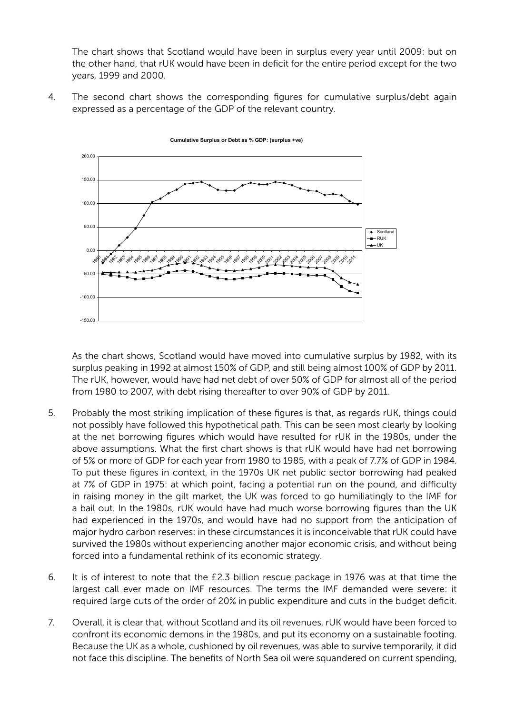The chart shows that Scotland would have been in surplus every year until 2009: but on the other hand, that rUK would have been in deficit for the entire period except for the two the ether hand, that rent reads have been in sonch rent throwing period end<br>years, 1999 and 2000. ther nand, that run would nave been in dencit for the entire pe  $\frac{1}{2}$  can s, that  $\frac{1}{2}$  which  $\frac{1}{2}$  would have been in definition except for the entire period except for the entire period except for the entire period except for the entire period except for the entire perio

4. The second chart shows the corresponding figures for cumulative surplus/debt again expressed as a percentage of the GDP of the relevant country.



Cumulative Surplus or Debt as % GDP: (surplus +ve)

As the chart shows, Scotland would have moved into cumulative surplus by 1982, with its surplus peaking in 1992 at almost 150% of GDP, and still being almost 100% of GDP by 2011. The rUK, however, would have had net debt of over 50% of GDP for almost all of the period from 1980 to 2007, with debt rising thereafter to over 90% of GDP by 2011.

- 5. Probably the most striking implication of these figures is that, as regards rUK, things could not possibly have followed this hypothetical path. This can be seen most clearly by looking at the net borrowing figures which would have resulted for rUK in the 1980s, under the above assumptions. What the first chart shows is that rUK would have had net borrowing of 5% or more of GDP for each year from 1980 to 1985, with a peak of 7.7% of GDP in 1984. To put these figures in context, in the 1970s UK net public sector borrowing had peaked at 7% of GDP in 1975: at which point, facing a potential run on the pound, and difficulty in raising money in the gilt market, the UK was forced to go humiliatingly to the IMF for 8 a bail out. In the 1980s, rUK would have had much worse borrowing figures than the UK had experienced in the 1970s, and would have had no support from the anticipation of major hydro carbon reserves: in these circumstances it is inconceivable that rUK could have survived the 1980s without experiencing another major economic crisis, and without being forced into a fundamental rethink of its economic strategy.
- 6. It is of interest to note that the £2.3 billion rescue package in 1976 was at that time the largest call ever made on IMF resources. The terms the IMF demanded were severe: it required large cuts of the order of 20% in public expenditure and cuts in the budget deficit.
- 7. Overall, it is clear that, without Scotland and its oil revenues, rUK would have been forced to confront its economic demons in the 1980s, and put its economy on a sustainable footing. Because the UK as a whole, cushioned by oil revenues, was able to survive temporarily, it did not face this discipline. The benefits of North Sea oil were squandered on current spending,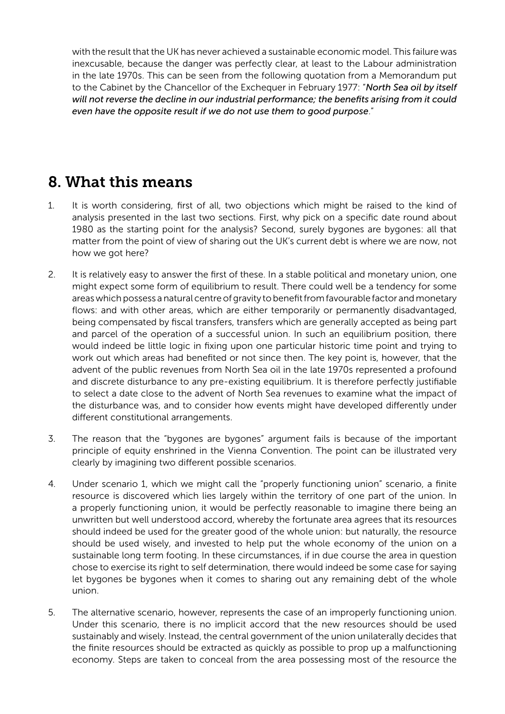with the result that the UK has never achieved a sustainable economic model. This failure was inexcusable, because the danger was perfectly clear, at least to the Labour administration in the late 1970s. This can be seen from the following quotation from a Memorandum put to the Cabinet by the Chancellor of the Exchequer in February 1977: "*North Sea oil by itself will not reverse the decline in our industrial performance; the benefits arising from it could even have the opposite result if we do not use them to good purpose*."

# 8. What this means

- 1. It is worth considering, first of all, two objections which might be raised to the kind of analysis presented in the last two sections. First, why pick on a specific date round about 1980 as the starting point for the analysis? Second, surely bygones are bygones: all that matter from the point of view of sharing out the UK's current debt is where we are now, not how we got here?
- 2. It is relatively easy to answer the first of these. In a stable political and monetary union, one might expect some form of equilibrium to result. There could well be a tendency for some areas which possess a natural centre of gravity to benefit from favourable factor and monetary flows: and with other areas, which are either temporarily or permanently disadvantaged, being compensated by fiscal transfers, transfers which are generally accepted as being part and parcel of the operation of a successful union. In such an equilibrium position, there would indeed be little logic in fixing upon one particular historic time point and trying to work out which areas had benefited or not since then. The key point is, however, that the advent of the public revenues from North Sea oil in the late 1970s represented a profound and discrete disturbance to any pre-existing equilibrium. It is therefore perfectly justifiable to select a date close to the advent of North Sea revenues to examine what the impact of the disturbance was, and to consider how events might have developed differently under different constitutional arrangements.
- 3. The reason that the "bygones are bygones" argument fails is because of the important principle of equity enshrined in the Vienna Convention. The point can be illustrated very clearly by imagining two different possible scenarios.
- 4. Under scenario 1, which we might call the "properly functioning union" scenario, a finite resource is discovered which lies largely within the territory of one part of the union. In a properly functioning union, it would be perfectly reasonable to imagine there being an unwritten but well understood accord, whereby the fortunate area agrees that its resources should indeed be used for the greater good of the whole union: but naturally, the resource should be used wisely, and invested to help put the whole economy of the union on a sustainable long term footing. In these circumstances, if in due course the area in question chose to exercise its right to self determination, there would indeed be some case for saying let bygones be bygones when it comes to sharing out any remaining debt of the whole union.
- 5. The alternative scenario, however, represents the case of an improperly functioning union. Under this scenario, there is no implicit accord that the new resources should be used sustainably and wisely. Instead, the central government of the union unilaterally decides that the finite resources should be extracted as quickly as possible to prop up a malfunctioning economy. Steps are taken to conceal from the area possessing most of the resource the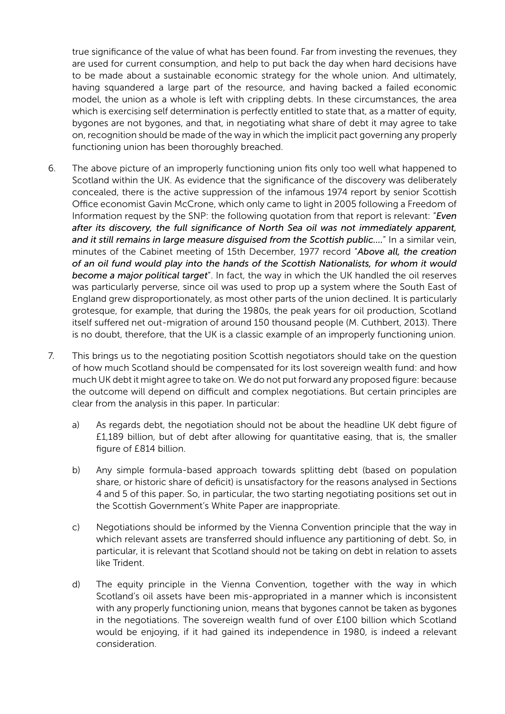true significance of the value of what has been found. Far from investing the revenues, they are used for current consumption, and help to put back the day when hard decisions have to be made about a sustainable economic strategy for the whole union. And ultimately, having squandered a large part of the resource, and having backed a failed economic model, the union as a whole is left with crippling debts. In these circumstances, the area which is exercising self determination is perfectly entitled to state that, as a matter of equity, bygones are not bygones, and that, in negotiating what share of debt it may agree to take on, recognition should be made of the way in which the implicit pact governing any properly functioning union has been thoroughly breached.

- 6. The above picture of an improperly functioning union fits only too well what happened to Scotland within the UK. As evidence that the significance of the discovery was deliberately concealed, there is the active suppression of the infamous 1974 report by senior Scottish Office economist Gavin McCrone, which only came to light in 2005 following a Freedom of Information request by the SNP: the following quotation from that report is relevant: "*Even after its discovery, the full significance of North Sea oil was not immediately apparent, and it still remains in large measure disguised from the Scottish public….*" In a similar vein, minutes of the Cabinet meeting of 15th December, 1977 record "*Above all, the creation of an oil fund would play into the hands of the Scottish Nationalists, for whom it would become a major political target*". In fact, the way in which the UK handled the oil reserves was particularly perverse, since oil was used to prop up a system where the South East of England grew disproportionately, as most other parts of the union declined. It is particularly grotesque, for example, that during the 1980s, the peak years for oil production, Scotland itself suffered net out-migration of around 150 thousand people (M. Cuthbert, 2013). There is no doubt, therefore, that the UK is a classic example of an improperly functioning union.
- 7. This brings us to the negotiating position Scottish negotiators should take on the question of how much Scotland should be compensated for its lost sovereign wealth fund: and how much UK debt it might agree to take on. We do not put forward any proposed figure: because the outcome will depend on difficult and complex negotiations. But certain principles are clear from the analysis in this paper. In particular:
	- a) As regards debt, the negotiation should not be about the headline UK debt figure of £1,189 billion, but of debt after allowing for quantitative easing, that is, the smaller figure of £814 billion.
	- b) Any simple formula-based approach towards splitting debt (based on population share, or historic share of deficit) is unsatisfactory for the reasons analysed in Sections 4 and 5 of this paper. So, in particular, the two starting negotiating positions set out in the Scottish Government's White Paper are inappropriate.
	- c) Negotiations should be informed by the Vienna Convention principle that the way in which relevant assets are transferred should influence any partitioning of debt. So, in particular, it is relevant that Scotland should not be taking on debt in relation to assets like Trident.
	- d) The equity principle in the Vienna Convention, together with the way in which Scotland's oil assets have been mis-appropriated in a manner which is inconsistent with any properly functioning union, means that bygones cannot be taken as bygones in the negotiations. The sovereign wealth fund of over £100 billion which Scotland would be enjoying, if it had gained its independence in 1980, is indeed a relevant consideration.